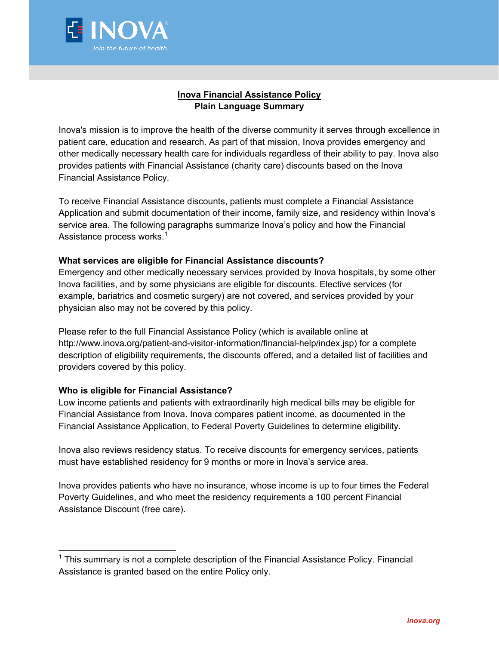

## **Inova Financial Assistance Policy Plain Language Summary**

Inova's mission is to improve the health of the diverse community it serves through excellence in patient care, education and research. As part of that mission, Inova provides emergency and other medically necessary health care for individuals regardless of their ability to pay. Inova also provides patients with Financial Assistance (charity care) discounts based on the Inova Financial Assistance Policy.

To receive Financial Assistance discounts, patients must complete a Financial Assistance Application and submit documentation of their income, family size, and residency within Inova's service area. The following paragraphs summarize Inova's policy and how the Financial Assistance process works.<sup>[1](#page-0-0)</sup>

## **What services are eligible for Financial Assistance discounts?**

Emergency and other medically necessary services provided by Inova hospitals, by some other Inova facilities, and by some physicians are eligible for discounts. Elective services (for example, bariatrics and cosmetic surgery) are not covered, and services provided by your physician also may not be covered by this policy.

Please refer to the full Financial Assistance Policy (which is available online at http://www.inova.org/patient-and-visitor-information/financial-help/index.jsp) for a complete description of eligibility requirements, the discounts offered, and a detailed list of facilities and providers covered by this policy.

## **Who is eligible for Financial Assistance?**

Low income patients and patients with extraordinarily high medical bills may be eligible for Financial Assistance from Inova. Inova compares patient income, as documented in the Financial Assistance Application, to Federal Poverty Guidelines to determine eligibility.

Inova also reviews residency status. To receive discounts for emergency services, patients must have established residency for 9 months or more in Inova's service area.

Inova provides patients who have no insurance, whose income is up to four times the Federal Poverty Guidelines, and who meet the residency requirements a 100 percent Financial Assistance Discount (free care).

<span id="page-0-0"></span> $1$  This summary is not a complete description of the Financial Assistance Policy. Financial Assistance is granted based on the entire Policy only.